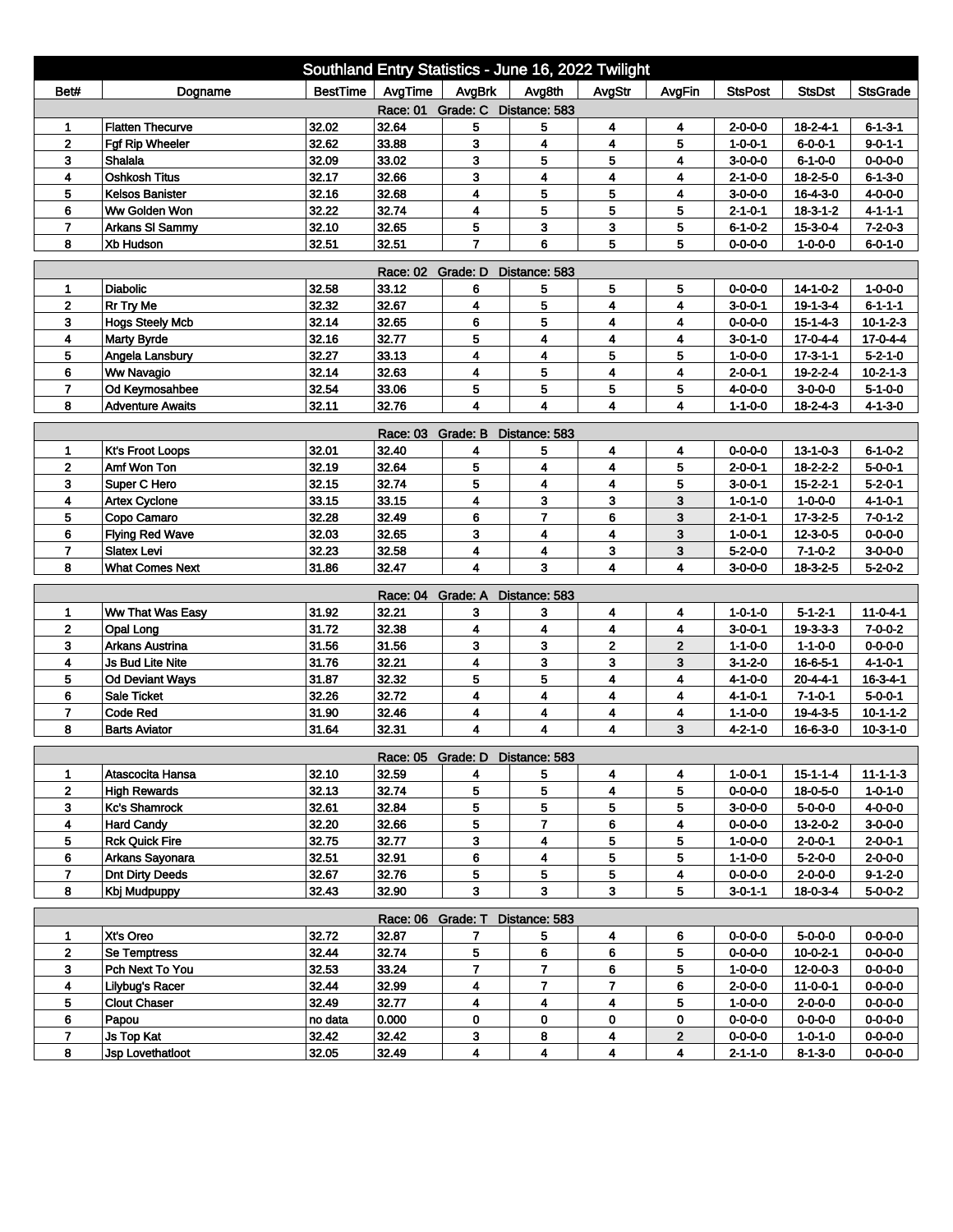| Southland Entry Statistics - June 16, 2022 Twilight                                                                        |                         |                 |                   |                                 |                         |                         |                |                 |                  |                  |  |
|----------------------------------------------------------------------------------------------------------------------------|-------------------------|-----------------|-------------------|---------------------------------|-------------------------|-------------------------|----------------|-----------------|------------------|------------------|--|
| Bet#                                                                                                                       | Dogname                 | <b>BestTime</b> | AvgTime           | AvgBrk                          | Avg8th                  | AvgStr                  | AvgFin         | <b>StsPost</b>  | <b>StsDst</b>    | <b>StsGrade</b>  |  |
| Race: 01 Grade: C Distance: 583                                                                                            |                         |                 |                   |                                 |                         |                         |                |                 |                  |                  |  |
| 1                                                                                                                          | <b>Flatten Thecurve</b> | 32.02           | 32.64             | 5                               | 5                       | 4                       | 4              | $2 - 0 - 0 - 0$ | $18 - 2 - 4 - 1$ | $6 - 1 - 3 - 1$  |  |
| $\mathbf 2$                                                                                                                | Fgf Rip Wheeler         | 32.62           | 33.88             | 3                               | 4                       | 4                       | 5              | $1 - 0 - 0 - 1$ | $6 - 0 - 0 - 1$  | $9 - 0 - 1 - 1$  |  |
| 3                                                                                                                          | Shalala                 | 32.09           | 33.02             | 3                               | 5                       | 5                       | 4              | $3-0-0-0$       | $6 - 1 - 0 - 0$  | $0 - 0 - 0 - 0$  |  |
| 4                                                                                                                          | <b>Oshkosh Titus</b>    | 32.17           | 32.66             | 3                               | 4                       | 4                       | 4              | $2 - 1 - 0 - 0$ | $18 - 2 - 5 - 0$ | $6 - 1 - 3 - 0$  |  |
| 5                                                                                                                          | <b>Kelsos Banister</b>  | 32.16           | 32.68             | 4                               | 5                       | 5                       | 4              | $3 - 0 - 0 - 0$ | $16 - 4 - 3 - 0$ | $4 - 0 - 0 - 0$  |  |
| 6                                                                                                                          | Ww Golden Won           | 32.22           | 32.74             | 4                               | 5                       | 5                       | 5              | $2 - 1 - 0 - 1$ | $18-3-1-2$       | $4 - 1 - 1 - 1$  |  |
| $\overline{7}$                                                                                                             | Arkans SI Sammy         | 32.10           | 32.65             | 5                               | 3                       | 3                       | 5              | $6 - 1 - 0 - 2$ | $15 - 3 - 0 - 4$ | $7 - 2 - 0 - 3$  |  |
| 32.51<br>$\overline{7}$<br>6<br>5<br>8<br>Xb Hudson<br>32.51<br>5<br>$0 - 0 - 0 - 0$<br>$1 - 0 - 0 - 0$<br>$6 - 0 - 1 - 0$ |                         |                 |                   |                                 |                         |                         |                |                 |                  |                  |  |
| Race: 02 Grade: D<br>Distance: 583                                                                                         |                         |                 |                   |                                 |                         |                         |                |                 |                  |                  |  |
| 1                                                                                                                          | <b>Diabolic</b>         | 32.58           | 33.12             | 6                               | 5                       | 5                       | 5              | $0 - 0 - 0 - 0$ | $14 - 1 - 0 - 2$ | $1 - 0 - 0 - 0$  |  |
| $\mathbf{2}$                                                                                                               | Rr Try Me               | 32.32           | 32.67             | 4                               | 5                       | $\overline{\mathbf{4}}$ | 4              | $3 - 0 - 0 - 1$ | $19 - 1 - 3 - 4$ | $6 - 1 - 1 - 1$  |  |
| 3                                                                                                                          | <b>Hogs Steely Mcb</b>  | 32.14           | 32.65             | 6                               | 5                       | 4                       | 4              | $0 - 0 - 0 - 0$ | $15 - 1 - 4 - 3$ | $10 - 1 - 2 - 3$ |  |
| 4                                                                                                                          | <b>Marty Byrde</b>      | 32.16           | 32.77             | 5                               | 4                       | 4                       | 4              | $3 - 0 - 1 - 0$ | $17 - 0 - 4 - 4$ | $17 - 0 - 4 - 4$ |  |
| 5                                                                                                                          | Angela Lansbury         | 32.27           | 33.13             | 4                               | 4                       | 5                       | 5              | $1 - 0 - 0 - 0$ | $17 - 3 - 1 - 1$ | $5 - 2 - 1 - 0$  |  |
| 6                                                                                                                          | <b>Ww Navagio</b>       | 32.14           | 32.63             | 4                               | 5                       | 4                       | 4              | $2 - 0 - 0 - 1$ | 19-2-2-4         | $10 - 2 - 1 - 3$ |  |
| $\overline{7}$                                                                                                             | Od Keymosahbee          | 32.54           | 33.06             | 5                               | 5                       | 5                       | 5              | $4 - 0 - 0 - 0$ | $3 - 0 - 0 - 0$  | $5 - 1 - 0 - 0$  |  |
| 8                                                                                                                          | <b>Adventure Awaits</b> | 32.11           | 32.76             | 4                               | $\overline{\mathbf{4}}$ | 4                       | 4              | $1 - 1 - 0 - 0$ | $18 - 2 - 4 - 3$ | $4 - 1 - 3 - 0$  |  |
| Grade: B<br>Distance: 583<br>Race: 03                                                                                      |                         |                 |                   |                                 |                         |                         |                |                 |                  |                  |  |
| 1                                                                                                                          | <b>Kt's Froot Loops</b> | 32.01           | 32.40             | 4                               | 5                       | 4                       | 4              | $0 - 0 - 0 - 0$ | $13 - 1 - 0 - 3$ | $6 - 1 - 0 - 2$  |  |
| $\mathbf 2$                                                                                                                | Amf Won Ton             | 32.19           | 32.64             | 5                               | 4                       | 4                       | 5              | $2 - 0 - 0 - 1$ | $18 - 2 - 2 - 2$ | $5 - 0 - 0 - 1$  |  |
| 3                                                                                                                          | Super C Hero            | 32.15           | 32.74             | 5                               | 4                       | 4                       | 5              | $3 - 0 - 0 - 1$ | $15 - 2 - 2 - 1$ | $5 - 2 - 0 - 1$  |  |
| 4                                                                                                                          | <b>Artex Cyclone</b>    | 33.15           | 33.15             | 4                               | 3                       | 3                       | 3              | $1 - 0 - 1 - 0$ | $1 - 0 - 0 - 0$  | $4 - 1 - 0 - 1$  |  |
| 5                                                                                                                          | Copo Camaro             | 32.28           | 32.49             | 6                               | $\overline{7}$          | 6                       | 3              | 2-1-0-1         | $17 - 3 - 2 - 5$ | $7 - 0 - 1 - 2$  |  |
| 6                                                                                                                          | <b>Flying Red Wave</b>  | 32.03           | 32.65             | 3                               | 4                       | 4                       | 3              | $1 - 0 - 0 - 1$ | $12 - 3 - 0 - 5$ | $0 - 0 - 0 - 0$  |  |
| 7                                                                                                                          | <b>Slatex Levi</b>      | 32.23           | 32.58             | 4                               | 4                       | 3                       | 3              | $5 - 2 - 0 - 0$ | $7 - 1 - 0 - 2$  | $3 - 0 - 0 - 0$  |  |
| 8                                                                                                                          | <b>What Comes Next</b>  | 31.86           | 32.47             | 4                               | 3                       | 4                       | 4              | $3-0-0-0$       | 18-3-2-5         | $5 - 2 - 0 - 2$  |  |
|                                                                                                                            |                         |                 | Race: 04          | Grade: A                        | Distance: 583           |                         |                |                 |                  |                  |  |
| 1                                                                                                                          | Ww That Was Easy        | 31.92           | 32.21             | 3                               | 3                       | 4                       | 4              | $1 - 0 - 1 - 0$ | $5 - 1 - 2 - 1$  | $11 - 0 - 4 - 1$ |  |
| $\mathbf{2}$                                                                                                               | Opal Long               | 31.72           | 32.38             | 4                               | 4                       | 4                       | 4              | $3 - 0 - 0 - 1$ | $19 - 3 - 3 - 3$ | $7 - 0 - 0 - 2$  |  |
| 3                                                                                                                          | <b>Arkans Austrina</b>  | 31.56           | 31.56             | 3                               | 3                       | $\overline{2}$          | $\overline{2}$ | $1 - 1 - 0 - 0$ | $1 - 1 - 0 - 0$  | $0 - 0 - 0 - 0$  |  |
| 4                                                                                                                          | Js Bud Lite Nite        | 31.76           | 32.21             | 4                               | 3                       | 3                       | 3              | $3-1-2-0$       | 16-6-5-1         | $4 - 1 - 0 - 1$  |  |
| 5                                                                                                                          | <b>Od Deviant Ways</b>  | 31.87           | 32.32             | 5                               | 5                       | 4                       | 4              | 4-1-0-0         | $20 - 4 - 4 - 1$ | $16 - 3 - 4 - 1$ |  |
| 6                                                                                                                          | <b>Sale Ticket</b>      | 32.26           | 32.72             | 4                               | 4                       | 4                       | 4              | $4 - 1 - 0 - 1$ | $7 - 1 - 0 - 1$  | $5 - 0 - 0 - 1$  |  |
| $\overline{7}$                                                                                                             | <b>Code Red</b>         | 31.90           | 32.46             | 4                               | 4                       | 4                       | 4              | $1 - 1 - 0 - 0$ | 19-4-3-5         | $10 - 1 - 1 - 2$ |  |
| 8                                                                                                                          | <b>Barts Aviator</b>    | 31.64           | 32.31             | 4                               | 4                       | 4                       | 3              | 4-2-1-0         | 16-6-3-0         | $10 - 3 - 1 - 0$ |  |
|                                                                                                                            |                         |                 |                   | Race: 05 Grade: D Distance: 583 |                         |                         |                |                 |                  |                  |  |
| 1                                                                                                                          | Atascocita Hansa        | 32.10           | 32.59             | 4                               | 5                       | 4                       | 4              | $1 - 0 - 0 - 1$ | $15 - 1 - 1 - 4$ | $11 - 1 - 1 - 3$ |  |
| $\mathbf{2}$                                                                                                               | <b>High Rewards</b>     | 32.13           | 32.74             | 5                               | 5                       | 4                       | 5              | $0 - 0 - 0 - 0$ | 18-0-5-0         | $1 - 0 - 1 - 0$  |  |
| 3                                                                                                                          | <b>Kc's Shamrock</b>    | 32.61           | 32.84             | 5                               | 5                       | 5                       | 5              | $3 - 0 - 0 - 0$ | $5 - 0 - 0 - 0$  | 4-0-0-0          |  |
| 4                                                                                                                          | <b>Hard Candy</b>       | 32.20           | 32.66             | 5                               | $\overline{7}$          | 6                       | 4              | $0 - 0 - 0 - 0$ | $13 - 2 - 0 - 2$ | $3-0-0-0$        |  |
| 5                                                                                                                          | <b>Rck Quick Fire</b>   | 32.75           | 32.77             | 3                               | 4                       | 5                       | 5              | $1 - 0 - 0 - 0$ | $2 - 0 - 0 - 1$  | $2 - 0 - 0 - 1$  |  |
| 6                                                                                                                          | Arkans Sayonara         | 32.51           | 32.91             | 6                               | 4                       | 5                       | 5              | $1 - 1 - 0 - 0$ | $5 - 2 - 0 - 0$  | $2 - 0 - 0 - 0$  |  |
| $\overline{7}$                                                                                                             | <b>Dnt Dirty Deeds</b>  | 32.67           | 32.76             | 5                               | 5                       | 5                       | 4              | $0 - 0 - 0 - 0$ | $2 - 0 - 0 - 0$  | $9 - 1 - 2 - 0$  |  |
| 8                                                                                                                          | Kbj Mudpuppy            | 32.43           | 32.90             | 3                               | 3                       | 3                       | 5              | $3 - 0 - 1 - 1$ | $18 - 0 - 3 - 4$ | $5 - 0 - 0 - 2$  |  |
|                                                                                                                            |                         |                 | Race: 06 Grade: T |                                 | Distance: 583           |                         |                |                 |                  |                  |  |
| 1                                                                                                                          | Xt's Oreo               | 32.72           | 32.87             | 7                               | 5                       | 4                       | 6              | $0 - 0 - 0 - 0$ | $5 - 0 - 0 - 0$  | $0 - 0 - 0 - 0$  |  |
| $\mathbf{2}$                                                                                                               | Se Temptress            | 32.44           | 32.74             | 5                               | 6                       | 6                       | 5              | $0 - 0 - 0 - 0$ | $10 - 0 - 2 - 1$ | $0 - 0 - 0 - 0$  |  |
| 3 <sup>2</sup>                                                                                                             | Pch Next To You         | 32.53           | 33.24             | 7                               | $\overline{7}$          | 6                       | 5              | $1 - 0 - 0 - 0$ | $12 - 0 - 0 - 3$ | $0 - 0 - 0 - 0$  |  |
| 4                                                                                                                          | Lilybug's Racer         | 32.44           | 32.99             | 4                               | $\overline{\mathbf{r}}$ | $\overline{7}$          | 6              | $2 - 0 - 0 - 0$ | $11 - 0 - 0 - 1$ | $0 - 0 - 0 - 0$  |  |
| 5                                                                                                                          | <b>Clout Chaser</b>     | 32.49           | 32.77             | 4                               | 4                       | 4                       | 5              | $1 - 0 - 0 - 0$ | $2 - 0 - 0 - 0$  | $0 - 0 - 0 - 0$  |  |
| 6                                                                                                                          | Papou                   | no data         | 0.000             | 0                               | 0                       | 0                       | 0              | $0 - 0 - 0 - 0$ | $0 - 0 - 0 - 0$  | $0 - 0 - 0 - 0$  |  |
| 7                                                                                                                          | Js Top Kat              | 32.42           | 32.42             | 3                               | 8                       | 4                       | $\mathbf{2}$   | $0 - 0 - 0 - 0$ | $1 - 0 - 1 - 0$  | $0 - 0 - 0 - 0$  |  |
| 8                                                                                                                          | Jsp Lovethatloot        | 32.05           | 32.49             | 4                               | $\overline{\mathbf{4}}$ | 4                       | 4              | $2 - 1 - 1 - 0$ | $8 - 1 - 3 - 0$  | $0 - 0 - 0 - 0$  |  |